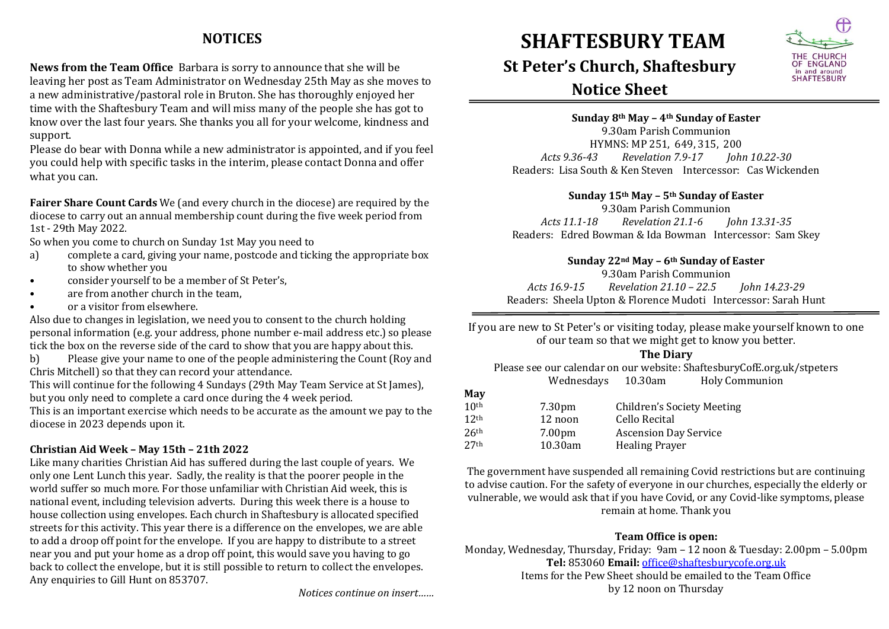# **NOTICES**

**News from the Team Office** Barbara is sorry to announce that she will be leaving her post as Team Administrator on Wednesday 25th May as she moves to a new administrative/pastoral role in Bruton. She has thoroughly enjoyed her time with the Shaftesbury Team and will miss many of the people she has got to know over the last four years. She thanks you all for your welcome, kindness and support.

Please do bear with Donna while a new administrator is appointed, and if you feel you could help with specific tasks in the interim, please contact Donna and offer what you can.

**Fairer Share Count Cards** We (and every church in the diocese) are required by the diocese to carry out an annual membership count during the five week period from 1st - 29th May 2022.

So when you come to church on Sunday 1st May you need to

- a) complete a card, giving your name, postcode and ticking the appropriate box to show whether you
- consider yourself to be a member of St Peter's,
- are from another church in the team.
- or a visitor from elsewhere.

Also due to changes in legislation, we need you to consent to the church holding personal information (e.g. your address, phone number e-mail address etc.) so please tick the box on the reverse side of the card to show that you are happy about this.

b) Please give your name to one of the people administering the Count (Roy and Chris Mitchell) so that they can record your attendance.

This will continue for the following 4 Sundays (29th May Team Service at St James), but you only need to complete a card once during the 4 week period.

This is an important exercise which needs to be accurate as the amount we pay to the diocese in 2023 depends upon it.

# **Christian Aid Week – May 15th – 21th 2022**

Like many charities Christian Aid has suffered during the last couple of years. We only one Lent Lunch this year. Sadly, the reality is that the poorer people in the world suffer so much more. For those unfamiliar with Christian Aid week, this is national event, including television adverts. During this week there is a house to house collection using envelopes. Each church in Shaftesbury is allocated specified streets for this activity. This year there is a difference on the envelopes, we are able to add a droop off point for the envelope. If you are happy to distribute to a street near you and put your home as a drop off point, this would save you having to go back to collect the envelope, but it is still possible to return to collect the envelopes. Any enquiries to Gill Hunt on 853707.

*Notices continue on insert……*

# **SHAFTESBURY TEAM**

# **St Peter's Church, Shaftesbury Notice Sheet**



**Sunday 8th May – 4th Sunday of Easter** 9.30am Parish Communion HYMNS: MP 251, 649, 315, 200 *Acts 9.36-43 Revelation 7.9-17 John 10.22-30* Readers: Lisa South & Ken Steven Intercessor: Cas Wickenden

## **Sunday 15th May – 5th Sunday of Easter**

9.30am Parish Communion *Acts 11.1-18 Revelation 21.1-6 John 13.31-35* Readers: Edred Bowman & Ida Bowman Intercessor: Sam Skey

## **Sunday 22nd May – 6th Sunday of Easter**

9.30am Parish Communion *Acts 16.9-15 Revelation 21.10 – 22.5 John 14.23-29* Readers: Sheela Upton & Florence Mudoti Intercessor: Sarah Hunt

If you are new to St Peter's or visiting today, please make yourself known to one of our team so that we might get to know you better.

# **The Diary**

Please see our calendar on our website: ShaftesburyCofE.org.uk/stpeters Wednesdays 10.30am Holy Communion

#### **May**

| 7.30 <sub>pm</sub> | Children's Society Meeting   |
|--------------------|------------------------------|
| 12 noon            | Cello Recital                |
| 7.00 <sub>pm</sub> | <b>Ascension Day Service</b> |
| 10.30am            | <b>Healing Prayer</b>        |
|                    |                              |

The government have suspended all remaining Covid restrictions but are continuing to advise caution. For the safety of everyone in our churches, especially the elderly or vulnerable, we would ask that if you have Covid, or any Covid-like symptoms, please remain at home. Thank you

# **Team Office is open:**

Monday, Wednesday, Thursday, Friday: 9am – 12 noon & Tuesday: 2.00pm – 5.00pm **Tel:** 853060 **Email:** [office@shaftesburycofe.org.uk](mailto:office@shaftesburycofe.org.uk) Items for the Pew Sheet should be emailed to the Team Office by 12 noon on Thursday